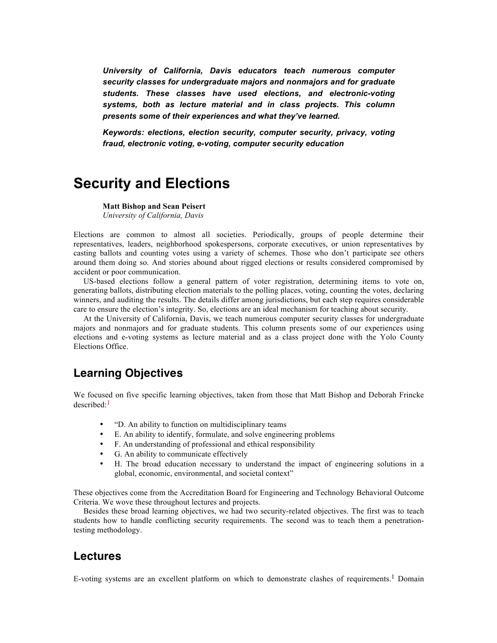*University of California, Davis educators teach numerous computer security classes for undergraduate majors and nonmajors and for graduate students. These classes have used elections, and electronic-voting systems, both as lecture material and in class projects. This column presents some of their experiences and what they've learned.*

*Keywords: elections, election security, computer security, privacy, voting fraud, electronic voting, e-voting, computer security education*

# **Security and Elections**

**Matt Bishop and Sean Peisert** *University of California, Davis*

Elections are common to almost all societies. Periodically, groups of people determine their representatives, leaders, neighborhood spokespersons, corporate executives, or union representatives by casting ballots and counting votes using a variety of schemes. Those who don't participate see others around them doing so. And stories abound about rigged elections or results considered compromised by accident or poor communication.

US-based elections follow a general pattern of voter registration, determining items to vote on, generating ballots, distributing election materials to the polling places, voting, counting the votes, declaring winners, and auditing the results. The details differ among jurisdictions, but each step requires considerable care to ensure the election's integrity. So, elections are an ideal mechanism for teaching about security.

At the University of California, Davis, we teach numerous computer security classes for undergraduate majors and nonmajors and for graduate students. This column presents some of our experiences using elections and e-voting systems as lecture material and as a class project done with the Yolo County Elections Office.

## **Learning Objectives**

We focused on five specific learning objectives, taken from those that Matt Bishop and Deborah Frincke described: 1

- "D. An ability to function on multidisciplinary teams
- E. An ability to identify, formulate, and solve engineering problems
- F. An understanding of professional and ethical responsibility
- G. An ability to communicate effectively
- H. The broad education necessary to understand the impact of engineering solutions in a global, economic, environmental, and societal context"

These objectives come from the Accreditation Board for Engineering and Technology Behavioral Outcome Criteria. We wove these throughout lectures and projects.

Besides these broad learning objectives, we had two security-related objectives. The first was to teach students how to handle conflicting security requirements. The second was to teach them a penetrationtesting methodology.

## **Lectures**

E-voting systems are an excellent platform on which to demonstrate clashes of requirements.<sup>1</sup> Domain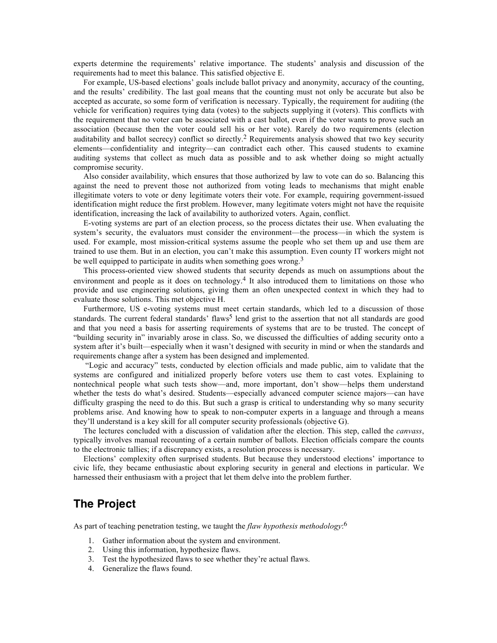experts determine the requirements' relative importance. The students' analysis and discussion of the requirements had to meet this balance. This satisfied objective E.

For example, US-based elections' goals include ballot privacy and anonymity, accuracy of the counting, and the results' credibility. The last goal means that the counting must not only be accurate but also be accepted as accurate, so some form of verification is necessary. Typically, the requirement for auditing (the vehicle for verification) requires tying data (votes) to the subjects supplying it (voters). This conflicts with the requirement that no voter can be associated with a cast ballot, even if the voter wants to prove such an association (because then the voter could sell his or her vote). Rarely do two requirements (election auditability and ballot secrecy) conflict so directly.<sup>2</sup> Requirements analysis showed that two key security elements—confidentiality and integrity—can contradict each other. This caused students to examine auditing systems that collect as much data as possible and to ask whether doing so might actually compromise security.

Also consider availability, which ensures that those authorized by law to vote can do so. Balancing this against the need to prevent those not authorized from voting leads to mechanisms that might enable illegitimate voters to vote or deny legitimate voters their vote. For example, requiring government-issued identification might reduce the first problem. However, many legitimate voters might not have the requisite identification, increasing the lack of availability to authorized voters. Again, conflict.

E-voting systems are part of an election process, so the process dictates their use. When evaluating the system's security, the evaluators must consider the environment—the process—in which the system is used. For example, most mission-critical systems assume the people who set them up and use them are trained to use them. But in an election, you can't make this assumption. Even county IT workers might not be well equipped to participate in audits when something goes wrong.<sup>3</sup>

This process-oriented view showed students that security depends as much on assumptions about the environment and people as it does on technology.<sup>4</sup> It also introduced them to limitations on those who provide and use engineering solutions, giving them an often unexpected context in which they had to evaluate those solutions. This met objective H.

Furthermore, US e-voting systems must meet certain standards, which led to a discussion of those standards. The current federal standards' flaws<sup>5</sup> lend grist to the assertion that not all standards are good and that you need a basis for asserting requirements of systems that are to be trusted. The concept of "building security in" invariably arose in class. So, we discussed the difficulties of adding security onto a system after it's built—especially when it wasn't designed with security in mind or when the standards and requirements change after a system has been designed and implemented.

"Logic and accuracy" tests, conducted by election officials and made public, aim to validate that the systems are configured and initialized properly before voters use them to cast votes. Explaining to nontechnical people what such tests show—and, more important, don't show—helps them understand whether the tests do what's desired. Students—especially advanced computer science majors—can have difficulty grasping the need to do this. But such a grasp is critical to understanding why so many security problems arise. And knowing how to speak to non-computer experts in a language and through a means they'll understand is a key skill for all computer security professionals (objective G).

The lectures concluded with a discussion of validation after the election. This step, called the *canvass*, typically involves manual recounting of a certain number of ballots. Election officials compare the counts to the electronic tallies; if a discrepancy exists, a resolution process is necessary.

Elections' complexity often surprised students. But because they understood elections' importance to civic life, they became enthusiastic about exploring security in general and elections in particular. We harnessed their enthusiasm with a project that let them delve into the problem further.

## **The Project**

As part of teaching penetration testing, we taught the *flaw hypothesis methodology*: 6

- 1. Gather information about the system and environment.
- 2. Using this information, hypothesize flaws.
- 3. Test the hypothesized flaws to see whether they're actual flaws.
- 4. Generalize the flaws found.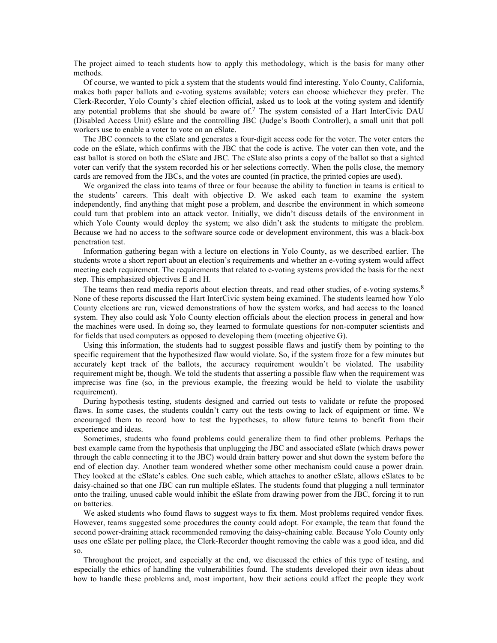The project aimed to teach students how to apply this methodology, which is the basis for many other methods.

Of course, we wanted to pick a system that the students would find interesting. Yolo County, California, makes both paper ballots and e-voting systems available; voters can choose whichever they prefer. The Clerk-Recorder, Yolo County's chief election official, asked us to look at the voting system and identify any potential problems that she should be aware of.<sup>7</sup> The system consisted of a Hart InterCivic DAU (Disabled Access Unit) eSlate and the controlling JBC (Judge's Booth Controller), a small unit that poll workers use to enable a voter to vote on an eSlate.

The JBC connects to the eSlate and generates a four-digit access code for the voter. The voter enters the code on the eSlate, which confirms with the JBC that the code is active. The voter can then vote, and the cast ballot is stored on both the eSlate and JBC. The eSlate also prints a copy of the ballot so that a sighted voter can verify that the system recorded his or her selections correctly. When the polls close, the memory cards are removed from the JBCs, and the votes are counted (in practice, the printed copies are used).

We organized the class into teams of three or four because the ability to function in teams is critical to the students' careers. This dealt with objective D. We asked each team to examine the system independently, find anything that might pose a problem, and describe the environment in which someone could turn that problem into an attack vector. Initially, we didn't discuss details of the environment in which Yolo County would deploy the system; we also didn't ask the students to mitigate the problem. Because we had no access to the software source code or development environment, this was a black-box penetration test.

Information gathering began with a lecture on elections in Yolo County, as we described earlier. The students wrote a short report about an election's requirements and whether an e-voting system would affect meeting each requirement. The requirements that related to e-voting systems provided the basis for the next step. This emphasized objectives E and H.

The teams then read media reports about election threats, and read other studies, of e-voting systems.<sup>8</sup> None of these reports discussed the Hart InterCivic system being examined. The students learned how Yolo County elections are run, viewed demonstrations of how the system works, and had access to the loaned system. They also could ask Yolo County election officials about the election process in general and how the machines were used. In doing so, they learned to formulate questions for non-computer scientists and for fields that used computers as opposed to developing them (meeting objective G).

Using this information, the students had to suggest possible flaws and justify them by pointing to the specific requirement that the hypothesized flaw would violate. So, if the system froze for a few minutes but accurately kept track of the ballots, the accuracy requirement wouldn't be violated. The usability requirement might be, though. We told the students that asserting a possible flaw when the requirement was imprecise was fine (so, in the previous example, the freezing would be held to violate the usability requirement).

During hypothesis testing, students designed and carried out tests to validate or refute the proposed flaws. In some cases, the students couldn't carry out the tests owing to lack of equipment or time. We encouraged them to record how to test the hypotheses, to allow future teams to benefit from their experience and ideas.

Sometimes, students who found problems could generalize them to find other problems. Perhaps the best example came from the hypothesis that unplugging the JBC and associated eSlate (which draws power through the cable connecting it to the JBC) would drain battery power and shut down the system before the end of election day. Another team wondered whether some other mechanism could cause a power drain. They looked at the eSlate's cables. One such cable, which attaches to another eSlate, allows eSlates to be daisy-chained so that one JBC can run multiple eSlates. The students found that plugging a null terminator onto the trailing, unused cable would inhibit the eSlate from drawing power from the JBC, forcing it to run on batteries.

We asked students who found flaws to suggest ways to fix them. Most problems required vendor fixes. However, teams suggested some procedures the county could adopt. For example, the team that found the second power-draining attack recommended removing the daisy-chaining cable. Because Yolo County only uses one eSlate per polling place, the Clerk-Recorder thought removing the cable was a good idea, and did so.

Throughout the project, and especially at the end, we discussed the ethics of this type of testing, and especially the ethics of handling the vulnerabilities found. The students developed their own ideas about how to handle these problems and, most important, how their actions could affect the people they work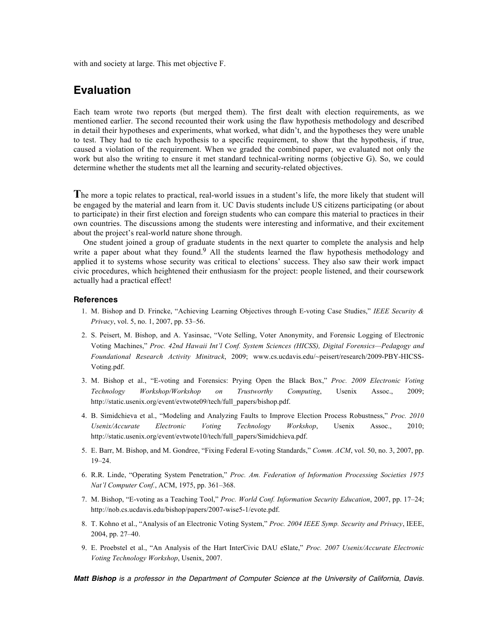with and society at large. This met objective F.

#### **Evaluation**

Each team wrote two reports (but merged them). The first dealt with election requirements, as we mentioned earlier. The second recounted their work using the flaw hypothesis methodology and described in detail their hypotheses and experiments, what worked, what didn't, and the hypotheses they were unable to test. They had to tie each hypothesis to a specific requirement, to show that the hypothesis, if true, caused a violation of the requirement. When we graded the combined paper, we evaluated not only the work but also the writing to ensure it met standard technical-writing norms (objective G). So, we could determine whether the students met all the learning and security-related objectives.

**T**he more a topic relates to practical, real-world issues in a student's life, the more likely that student will be engaged by the material and learn from it. UC Davis students include US citizens participating (or about to participate) in their first election and foreign students who can compare this material to practices in their own countries. The discussions among the students were interesting and informative, and their excitement about the project's real-world nature shone through.

One student joined a group of graduate students in the next quarter to complete the analysis and help write a paper about what they found.<sup>9</sup> All the students learned the flaw hypothesis methodology and applied it to systems whose security was critical to elections' success. They also saw their work impact civic procedures, which heightened their enthusiasm for the project: people listened, and their coursework actually had a practical effect!

#### **References**

- 1. M. Bishop and D. Frincke, "Achieving Learning Objectives through E-voting Case Studies," *IEEE Security & Privacy*, vol. 5, no. 1, 2007, pp. 53–56.
- 2. S. Peisert, M. Bishop, and A. Yasinsac, "Vote Selling, Voter Anonymity, and Forensic Logging of Electronic Voting Machines," *Proc. 42nd Hawaii Int'l Conf. System Sciences (HICSS), Digital Forensics—Pedagogy and Foundational Research Activity Minitrack*, 2009; www.cs.ucdavis.edu/~peisert/research/2009-PBY-HICSS-Voting.pdf.
- 3. M. Bishop et al., "E-voting and Forensics: Prying Open the Black Box," *Proc. 2009 Electronic Voting Technology Workshop/Workshop on Trustworthy Computing*, Usenix Assoc., 2009; http://static.usenix.org/event/evtwote09/tech/full\_papers/bishop.pdf.
- 4. B. Simidchieva et al., "Modeling and Analyzing Faults to Improve Election Process Robustness," *Proc. 2010 Usenix/Accurate Electronic Voting Technology Workshop*, Usenix Assoc., 2010; http://static.usenix.org/event/evtwote10/tech/full\_papers/Simidchieva.pdf.
- 5. E. Barr, M. Bishop, and M. Gondree, "Fixing Federal E-voting Standards," *Comm. ACM*, vol. 50, no. 3, 2007, pp. 19–24.
- 6. R.R. Linde, "Operating System Penetration," *Proc. Am. Federation of Information Processing Societies 1975 Nat'l Computer Conf.*, ACM, 1975, pp. 361–368.
- 7. M. Bishop, "E-voting as a Teaching Tool," *Proc. World Conf. Information Security Education*, 2007, pp. 17–24; http://nob.cs.ucdavis.edu/bishop/papers/2007-wise5-1/evote.pdf.
- 8. T. Kohno et al., "Analysis of an Electronic Voting System," *Proc. 2004 IEEE Symp. Security and Privacy*, IEEE, 2004, pp. 27–40.
- 9. E. Proebstel et al., "An Analysis of the Hart InterCivic DAU eSlate," *Proc. 2007 Usenix/Accurate Electronic Voting Technology Workshop*, Usenix, 2007.

*Matt Bishop is a professor in the Department of Computer Science at the University of California, Davis.*